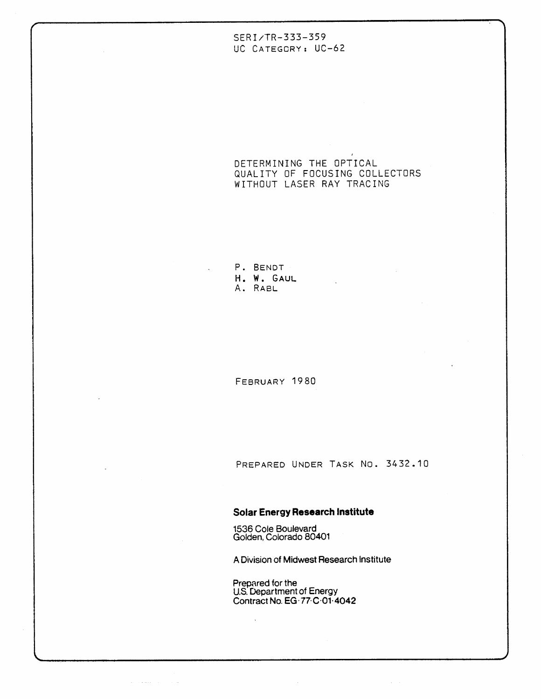## SERI/TR-333-359 UC CATEGORY: UC-62

DETERMINING THE OPTICAL QUALITY OF FOCUSING COLLECTORS WITHOUT LASER RAY TRACING

**I** 

P. BENDT H. W. GAUL A. RABL

FEBRUARY 1980

PREPARED UNDER TASK NO. 3432.10

 $\alpha$  ,  $\alpha$  ,  $\alpha$ 

## **Solar Energy Research Institute**

**1536 Cole Boulevard Golden, Colorado 80401** 

 $\sim 10^{-1}$ 

 $\mathcal{A}(\mathcal{A})$  is a second order of  $\mathcal{A}(\mathcal{A})$  . The condition

**A Division of Midwest Research Institute** 

**Prepared for the U.S. Uepar tment of Energy Contract No. EG.77.C.01.4042**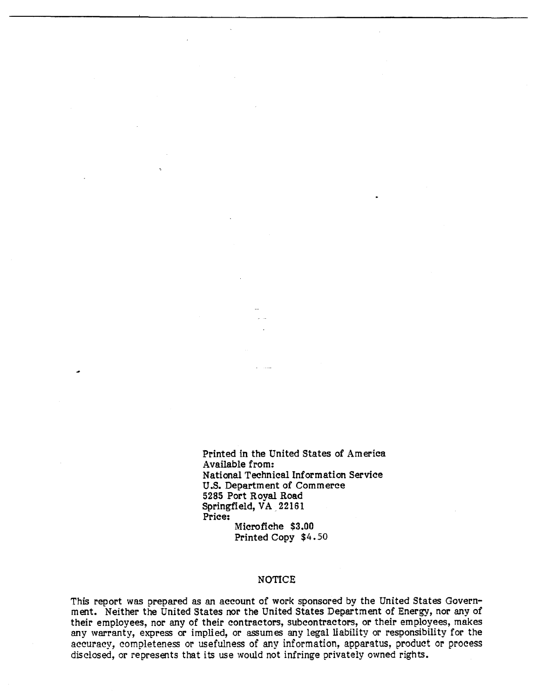Printed in the United States of America Available from: National Technical Information Service U.S. Department of Commerce 5285 Port Royal Road Springfield, VA 22161 Price: Microfiche \$3.00 Printed Copy \$4.50

## NOTICE

This report was prepared as an account of work sponsored by the United States Government. Neither the United States nor the United States Department of Energy, nor any of their employees, nor any of their contractors, subcontractors, or their employees, makes any warranty, express or implied, or assumes any legal liability or responsibility for the accuracy, completeness or usefulness of **any** information, apparatus, product or process disclosed, or represents that its use would not infringe privately owned rights.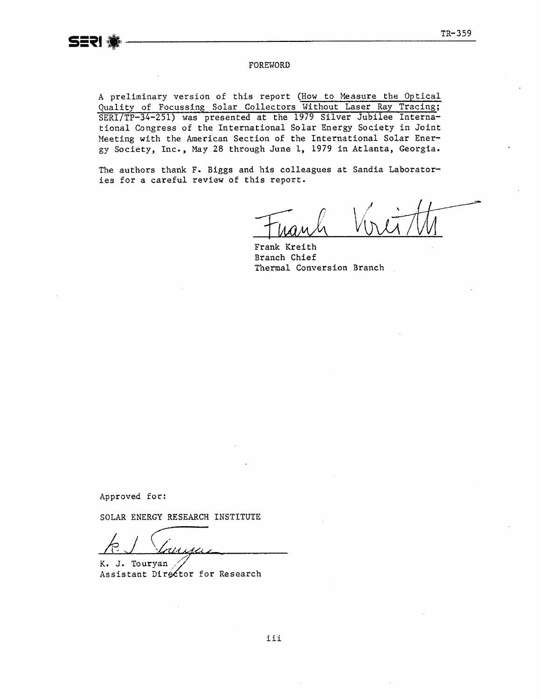#### FOREWORD

A preliminary version of this report (How to Measure the Optical **Quality of Focussing Solar Collectors Without Laser Ray Tracing;**  SERI/TP-34-251) was presented at the 1979 Silver Jubilee Interna**tional Congress of the International Solar Energy Society in Joint Meeting with the American Section of the International Solar Energy Society, Inc., May 28 through June 1, 1979 in Atlanta, Georgia.** 

**The authors thank F. Biggs and his colleagues at Sandia Laboratories for a careful review of this report.** 

**Frank Kreith Branch Chief Thermal Conversion Branch** 

**Approved for:** 

**SOLAR** EmRGY **RESEARCH INSTITUTE** 

FREERACH INSTITUTE

Assistant Director for Research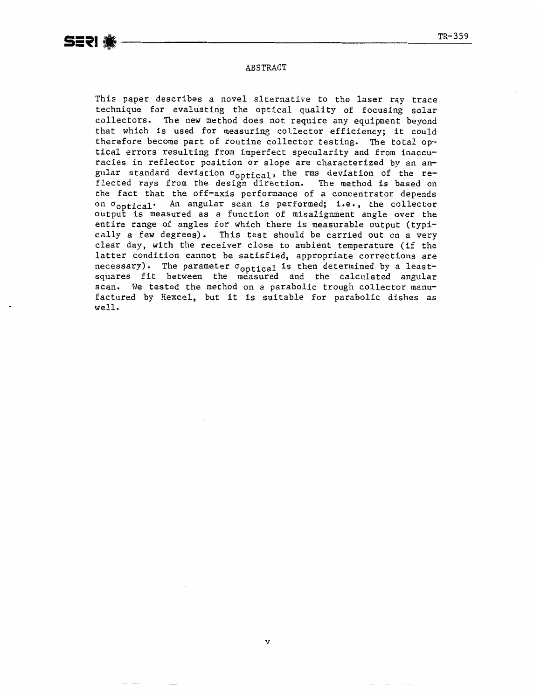## ABSTRACT

This paper describes a novel alternative to the laser ray trace technique for evaluating the optical quality of focusing solar collectors. The new method does not require any equipment beyond that which is used for measuring collector efficiency; it could therefore become part of routine collector testing. The total optical errors resulting from imperfect specularity and from inaccuracies in reflector position or slope are characterized by an angular standard deviation  $\sigma_{\text{optical}}$ , the rms deviation of the reflected rays from the design direction. The method is based on the fact that the off-axis performance of a concentrator depends on Goptical. An angular scan is performed; **i.e.,** the collector output is measured as a function of misalignment angle over the entire range of angles for which there is measurable output (typically a few degrees). This test should be carried out on a very clear day, with the receiver close to ambient temperature (if the latter condition cannot be satisfied, appropriate corrections are necessary). The parameter  $\sigma_{\text{optical}}$  is then determined by a leastsquares fit between the measured and the calculated angular scan. We tested the method on a parabolic trough collector manufactured by Hexcel, but it is suitable for parabolic dishes as well.

 $\overline{\mathbf{v}}$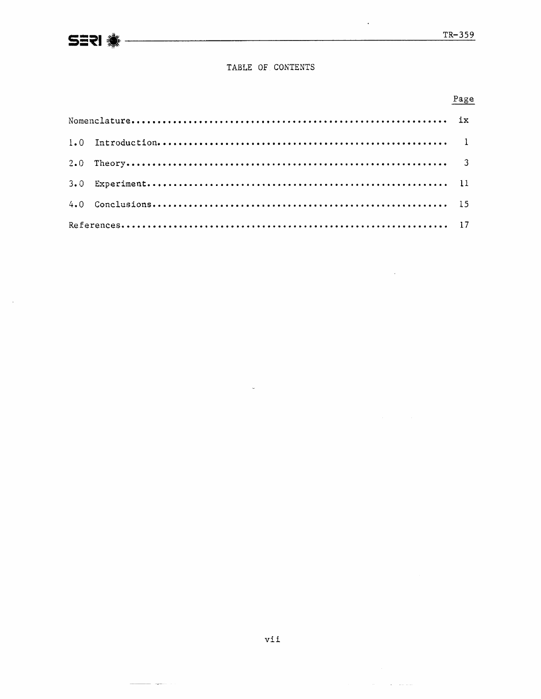$\bar{z}$ 

 $\ddot{\phantom{a}}$ 

 $\hat{\mathcal{A}}$ 

 $\alpha$  ,  $\alpha$  ,  $\alpha$  ,  $\alpha$  ,  $\alpha$  ,  $\alpha$  ,  $\alpha$  ,  $\alpha$  ,  $\alpha$ 

## TABLE OF CONTENTS

## Page

 $\downarrow$ 

 $\overline{a}$ 

المناسب المستحدث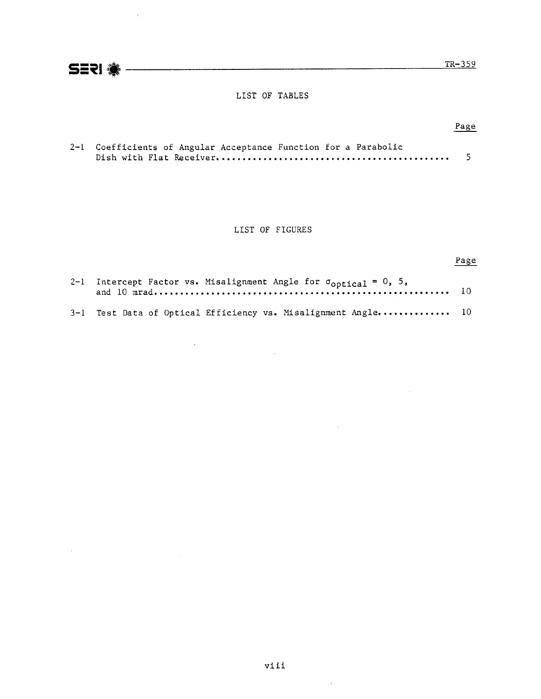**S1PI** TR-359

 $\sim 10^7$ 

 $\label{eq:2.1} \mathcal{L}=\mathcal{L}(\mathcal{L}^{(1)}\otimes\mathcal{L}^{(2)})\otimes\mathcal{L}^{(3)}\otimes\mathcal{L}^{(4)}$ 

## LIST OF TABLES

## Page

| 2-1 Coefficients of Angular Acceptance Function for a Parabolic |  |
|-----------------------------------------------------------------|--|
|                                                                 |  |

## LIST OF FIGURES

# Page

 $\sim 10$ 

 $\sim$ 

 $\sim 10^{11}$ 

| 2-1 Intercept Factor vs. Misalignment Angle for $\sigma_{\text{optical}} = 0$ , 5, |  |
|------------------------------------------------------------------------------------|--|
| 3-1 Test Data of Optical Efficiency vs. Misalignment Angle 10                      |  |

 $\frac{1}{2} \sum_{i=1}^n \frac{1}{2} \sum_{j=1}^n \frac{1}{2} \sum_{j=1}^n \frac{1}{2} \sum_{j=1}^n \frac{1}{2} \sum_{j=1}^n \frac{1}{2} \sum_{j=1}^n \frac{1}{2} \sum_{j=1}^n \frac{1}{2} \sum_{j=1}^n \frac{1}{2} \sum_{j=1}^n \frac{1}{2} \sum_{j=1}^n \frac{1}{2} \sum_{j=1}^n \frac{1}{2} \sum_{j=1}^n \frac{1}{2} \sum_{j=1}^n \frac{1}{2} \sum_{j=$ 

 $\sim$   $\sim$ 

 $\sim 10^{-1}$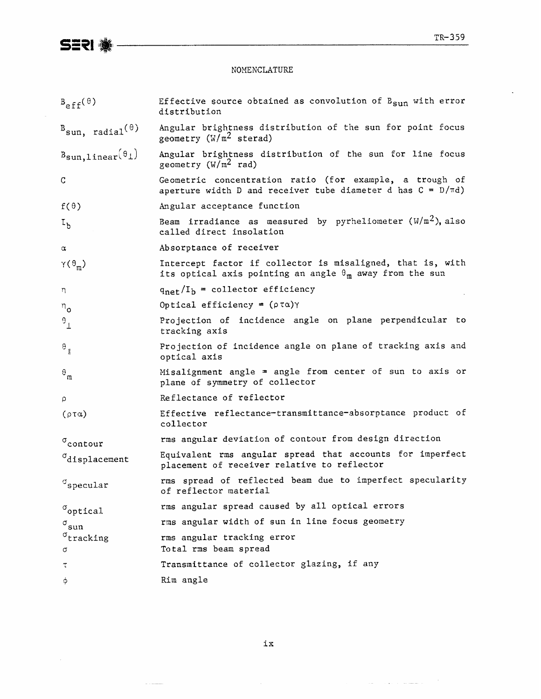$\ddot{\phantom{a}}$ 

## NOMENCLATURE

| $B_{eff}(\theta)$                        | Effective source obtained as convolution of $B_{\text{sun}}$ with error<br>distribution                                       |
|------------------------------------------|-------------------------------------------------------------------------------------------------------------------------------|
| $B_{sun, radial}$                        | Angular brightness distribution of the sun for point focus<br>geometry $(W/m^2$ sterad)                                       |
| $B_{\text{sun},\text{linear}}(\theta_1)$ | Angular brightness distribution of the sun for line focus<br>geometry $(W/m^2 rad)$                                           |
| $\mathsf C$                              | Geometric concentration ratio (for example, a trough of<br>aperture width D and receiver tube diameter d has $C = D/rd$ )     |
| $f(\theta)$                              | Angular acceptance function                                                                                                   |
| $I_h$                                    | Beam irradiance as measured by pyrheliometer $(W/m^2)$ , also<br>called direct insolation                                     |
| $\alpha$                                 | Absorptance of receiver                                                                                                       |
| $\gamma(\theta_m)$                       | Intercept factor if collector is misaligned, that is, with<br>its optical axis pointing an angle $\theta_m$ away from the sun |
| n                                        | $q_{\text{net}}/I_b$ = collector efficiency                                                                                   |
| $n_{\mathbf{o}}$                         | Optical efficiency = $(\rho \tau \alpha) \gamma$                                                                              |
| $\mathbf{e}^{\dagger}$                   | Projection of incidence angle on plane perpendicular to<br>tracking axis                                                      |
| $\mathbf{e}^{\dagger}$                   | Projection of incidence angle on plane of tracking axis and<br>optical axis                                                   |
| $\mathbf{e}_{\mathfrak{m}}$              | Misalignment angle $=$ angle from center of sun to axis or<br>plane of symmetry of collector                                  |
| p                                        | Reflectance of reflector                                                                                                      |
| $(\rho \tau \alpha)$                     | Effective reflectance-transmittance-absorptance product of<br>collector                                                       |
| $\sigma$ contour                         | rms angular deviation of contour from design direction                                                                        |
| $\sigma_{\texttt{displacement}}$         | Equivalent rms angular spread that accounts for imperfect<br>placement of receiver relative to reflector                      |
| $\sigma$ <sub>specular</sub>             | rms spread of reflected beam due to imperfect specularity<br>of reflector material                                            |
| $\sigma$ optical                         | rms angular spread caused by all optical errors                                                                               |
| $\sigma_{\texttt{sun}}$                  | rms angular width of sun in line focus geometry                                                                               |
| $\rm^\sigma$ tracking<br>σ               | rms angular tracking error<br>Total rms beam spread                                                                           |
| τ                                        | Transmittance of collector glazing, if any                                                                                    |
| φ                                        | Rim angle                                                                                                                     |

 $\mathtt{ix}$ 

 $\label{eq:1} \begin{array}{ll} \mathcal{L}_{\mathcal{M}}(x) & \text{if} \; x \in \mathcal{M} \text{ and } \mathcal{M} \text{ and } \\ \mathcal{L}_{\mathcal{M}}(x) & \text{if} \; x \in \mathcal{M} \text{ and } \mathcal{M} \text{ and } \\ \mathcal{L}_{\mathcal{M}}(x) & \text{if} \; x \in \mathcal{M} \text{ and } \mathcal{M} \text{ and } \\ \mathcal{L}_{\mathcal{M}}(x) & \text{if} \; x \in \mathcal{M} \text{ and } \\ \mathcal{L}_{\mathcal{M}}(x) & \text{if}$ 

العام<br>العام المستشهد والعام العام العام العام ال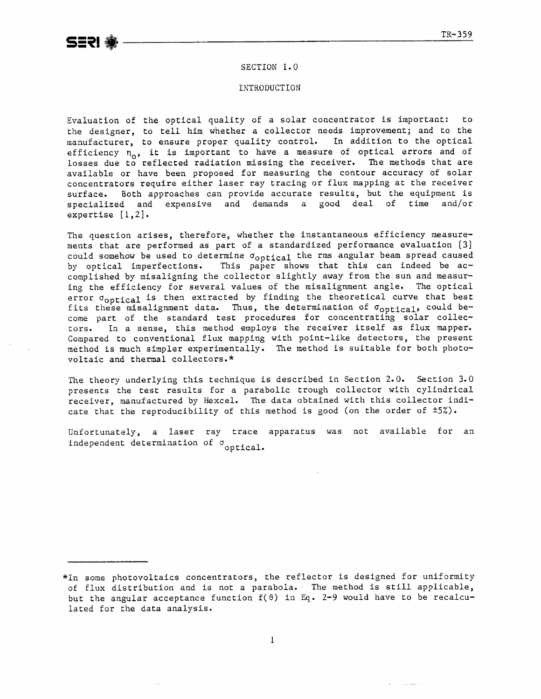#### SECTION 1.0

#### INTRODUCTION

Evaluation of the optical quality of a solar concentrator is important: to the designer, to tell him whether a collector needs improvement; and to the manufacturer, to ensure proper quality control. In addition to the optical efficiency n<sub>o</sub>, it is important to have a measure of optical errors and of losses due to reflected radiation missing the receiver. **The** methods **that** are available or have been proposed for measuring **the** contour accuracy of solar concentrators require either laser ray tracing or flux mapping at the receiver surface. Both approaches can provide accurate results, but the equipment is<br>specialized and expensive and demands a good deal of time and/or specialized and expensive and demands a good deal of time expertise [l,2].

The question arises, therefore, whether the instantaneous efficiency neasurements that **are** performed as part of a standardized performance evaluation **[3]**  could somehow be used to determine  $\sigma_{\text{optical}}$  the rms angular beam spread caused<br>by optical imperfections. This paper shows that this can indeed be ac-This paper shows that this can indeed be accomplished by misaligning the collector slightly away from the sun and measuring the efficiency for several values of the misalignment angle. The optical error  $\sigma_{\text{ontical}}$  is then extracted by finding the theoretical curve that best fits these misalignment data. Thus, the determination of  $\sigma_{\text{outical}}$ , could become part of the standard test procedures for concentrating solar colleccors. In a sense, this method employs **the** receiver itself as flux mapper. Compared to conventional flux mapping with point-like detectors, the present method is much simpler experimentally. The method is suitable for both photovoltaic and thermal collectors. \*

The theory underlying this technique is described in Section 2.0. Section 3.0 presents the test results for a parabolic trough collector with cylindrical receiver, manufactured by Hexeel. **The** data obtained with this collector indicate that the reproducibility of this method is good (on the order of  $\pm 5\%$ ).

Unfortunately, a **laser** ray trace apparatus was not available for an independent determination of  $\sigma$  optical.

 $\mathbf{r}$  . The components of  $\mathbf{r}$ 

<sup>\*</sup>In some photovoltaics concentrators, the reflector is designed for uniformity of flux distribution and is not a parabola. The method is still applicable, but the angular acceptance function  $f(\theta)$  in Eq. 2-9 would have to be recalculated for the data analysis.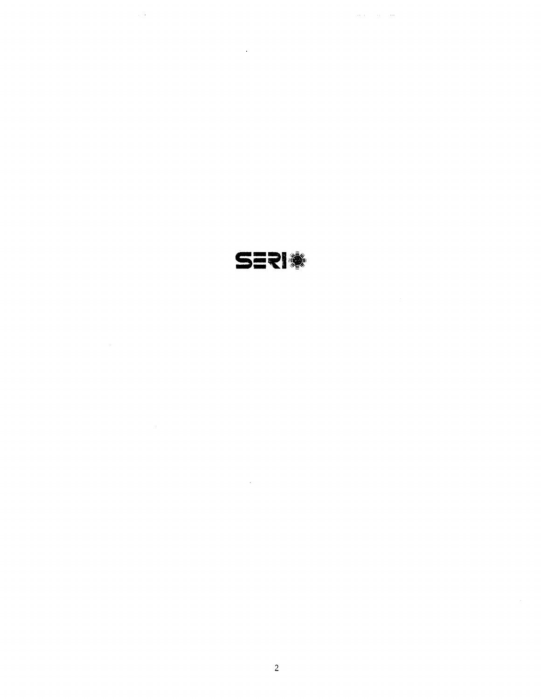SERI®

 $\sim 10^4$ 

 $\sim 10^{11}$  km

 $\sim 10^{11}$ 

 $\mathcal{L}^{\text{max}}_{\text{max}}$  and  $\mathcal{L}^{\text{max}}_{\text{max}}$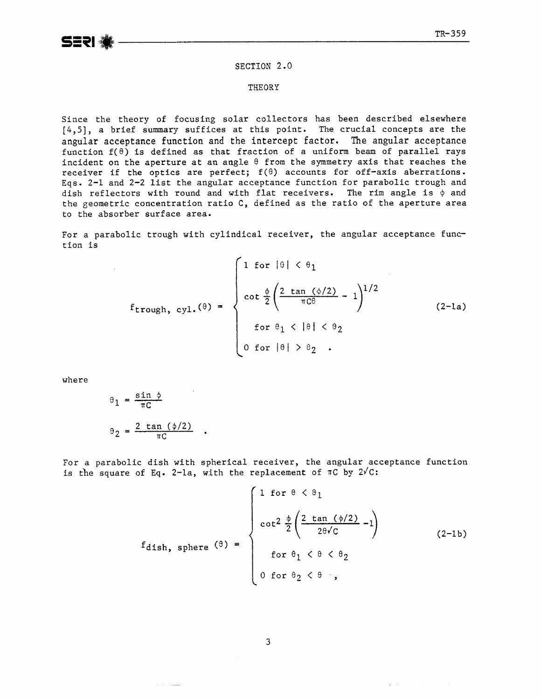SERI

#### **SECTION** 2.0

#### **THEORY**

Since the theory of focusing solar collectors has been described elsewhere *[4,5],* a brief summary suffices at this point. The crucial concepts are the angular **acceptance** function **and the intercept factor. The angular acceptance**  function f(8) **is** defined as that fraction of a uniform beam of parallel rays incident on the aperture at an angle  $\theta$  from the symmetry axis that reaches the receiver if the optics are perfect;  $f(\theta)$  accounts for off-axis aberrations. Eqs. 2-1 and 2-2 list the angular acceptance function for parabolic trough and dish reflectors with round and with flat receivers. The rim angle is  $\phi$  and the geometric concentration ratio C, defined as the ratio of the aperture area to the absorber surface area-

For a parabolic trough with cylindical receiver, the angular acceptance function is

$$
f_{\text{trough, cyl.}}(\theta) = \begin{cases} 1 \text{ for } |\theta| < \theta_1 \\ \cot \frac{\phi}{2} \left( \frac{2 \tan (\phi/2)}{\pi C \theta} - 1 \right)^{1/2} \\ \text{for } \theta_1 < |\theta| < \theta_2 \\ 0 \text{ for } |\theta| > \theta_2 \end{cases}
$$
 (2-la)

where

$$
\theta_1 = \frac{\sin \phi}{\pi C}
$$

$$
\theta_2 = \frac{2 \tan (\phi/2)}{\pi C}
$$

For a parabolic dish with spherical receiver, the angular acceptance function is the square of Eq. 2-la, with the replacement of  $\pi C$  by  $2\sqrt{C}$ :

$$
f_{\text{dish, sphere}}(\theta) = \begin{cases} 1 & \text{for } \theta < \theta_1 \\ \cot^2 \frac{\phi}{2} \left( \frac{2 \tan (\phi/2)}{2\theta\sqrt{c}} - 1 \right) \\ & \text{for } \theta_1 < \theta < \theta_2 \\ 0 & \text{for } \theta_2 < \theta \end{cases} \tag{2-1b}
$$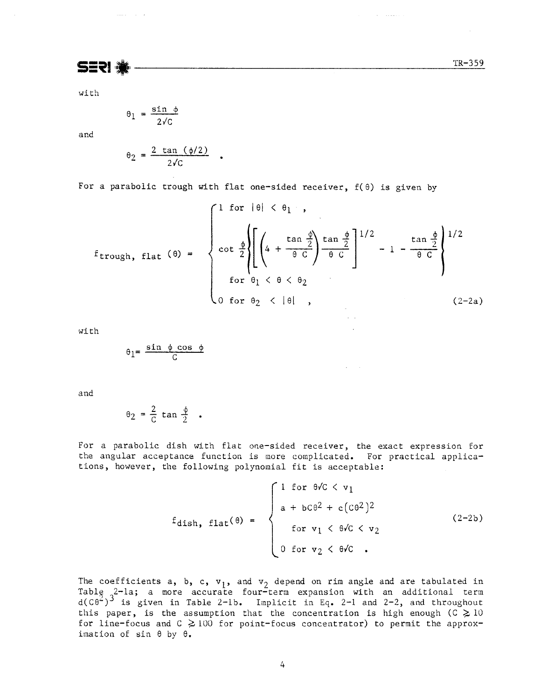$\mathcal{L}_{\mathrm{eff}}$  . The mass  $\mathcal{L}_{\mathrm{eff}}$ 

**SERI** 

 $\label{eq:1} \begin{array}{lll} \mathbb{E}[\mathbf{a}_1,\mathbf{a}_2,\mathbf{a}_3] & \mathbb{E}[\mathbf{a}_1,\mathbf{a}_2,\mathbf{a}_3] \end{array}$ 

with

$$
\theta_1 = \frac{\sin \phi}{2\sqrt{c}}
$$

and

$$
\theta_2 = \frac{2 \tan (\phi/2)}{2\sqrt{C}}
$$

For a parabolic trough with flat one-sided receiver,  $f(\theta)$  is given by

 $\bullet$ 

$$
f_{\text{trough, flat}}\left(\theta\right) = \begin{cases} 1 \text{ for } |\theta| < \theta_1 \\ \text{ for } |\theta| < \theta_1 \end{cases}
$$
  
\n
$$
f_{\text{trough, flat}}\left(\theta\right) = \begin{cases} 1 \text{ for } |\theta| < \theta_1 \\ \text{cot } \frac{\phi}{2} \left\{ \left[ \left( 4 + \frac{\tan \frac{\phi}{2}}{\theta C} \right) \frac{\tan \frac{\phi}{2}}{\theta C} \right]^{1/2} - 1 - \frac{\tan \frac{\phi}{2}}{\theta C} \right\}^{1/2} \\ \text{for } \theta_1 < \theta < \theta_2 \\ 0 \text{ for } \theta_2 < |\theta| \end{cases}
$$
 (2-2a)

with

$$
\theta_1 = \frac{\sin \phi \cos \phi}{C}
$$

and

$$
\theta_2 = \frac{2}{C} \tan \frac{\phi}{2} .
$$

For a parabolic dish with flat one-sided receiver, the exact expression for the angular acceptance function is more complicated. For practical applications, however, the following polynomial fit is acceptable:

$$
f_{\text{dish, flat}}(\theta) = \begin{cases} 1 & \text{for } \theta \text{/} C < v_1 \\ a + b \text{C} \theta^2 + c \left( \text{C} \theta^2 \right)^2 \\ & \text{for } v_1 < \theta \text{/} C < v_2 \\ 0 & \text{for } v_2 < \theta \text{/} C \end{cases} \tag{2-2b}
$$

 $\mathcal{L}^{\text{max}}$ 

The coefficients a,  $b$ ,  $c$ ,  $v_1$ , and  $v_2$  depend on rim angle and are tabulated in Table  $2$ -la; a more accurate four-term expansion with an additional term  $d(C\theta^2)^3$  is given in Table 2-lb. Implicit in Eq. 2-1 and 2-2, and throughout this paper, is the assumption that the concentration is high enough (C  $\geq$  10 for line-focus and  $C \ge 100$  for point-focus concentrator) to permit the approximation of sin 6 by **0.**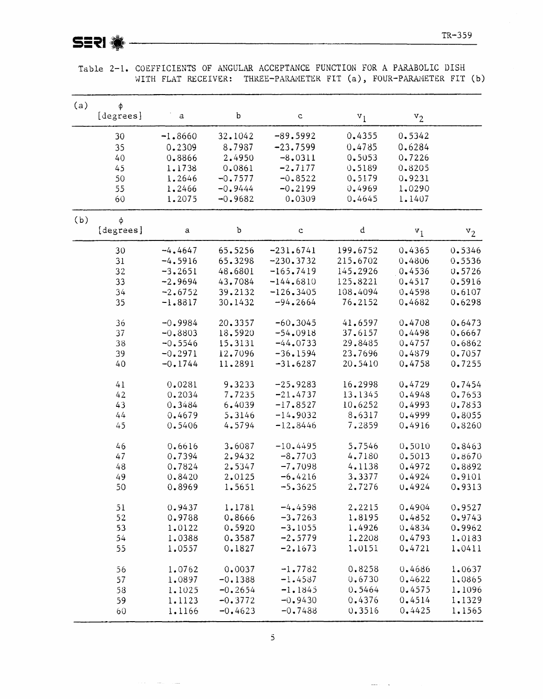| (a) | φ         |              |           |              |              |        |        |
|-----|-----------|--------------|-----------|--------------|--------------|--------|--------|
|     | [degrees] | $\mathsf a$  | b         | $\mathsf{C}$ | $v_1$        | $v_2$  |        |
|     | 30        | $-1.8660$    | 32,1042   | $-89.5992$   | 0.4355       | 0.5342 |        |
|     | 35        | 0.2309       | 8.7987    | $-23.7599$   | 0.4785       | 0.6284 |        |
|     | 40        | 0.8866       | 2.4950    | $-8,0311$    | 0.5053       | 0.7226 |        |
|     | 45        | 1.1738       | 0.0861    | $-2.7177$    | 0.5189       | 0.8205 |        |
|     | 50        | 1.2646       | $-0.7577$ | $-0.8522$    | 0.5179       | 0.9231 |        |
|     | 55        | 1,2466       | $-0.9444$ | $-0.2199$    | 0.4969       | 1.0290 |        |
|     | 60        | 1.2075       | $-0.9682$ | 0.0309       | 0.4645       | 1.1407 |        |
| (b) | $\phi$    |              |           |              |              |        |        |
|     | [degrees] | $\mathbf{a}$ | b         | $\mathbf c$  | $\mathtt{d}$ | $v_1$  | $v_2$  |
|     | 30        | $-4.4647$    | 65.5256   | $-231.6741$  | 199.6752     | 0.4365 | 0.5346 |
|     | 31        | $-4.5916$    | 65.3298   | $-230.3732$  | 215.6702     | 0.4806 | 0.5536 |
|     | 32        | $-3.2651$    | 48.6801   | $-165.7419$  | 145.2926     | 0.4536 | 0.5726 |
|     | 33        | $-2.9694$    | 43.7084   | $-144.6810$  | 125.8221     | 0.4517 | 0.5916 |
|     | 34        |              | 39.2132   | $-126.3405$  | 108.4094     | 0.4598 | 0.6107 |
|     |           | $-2.6752$    |           |              |              |        |        |
|     | 35        | $-1.8817$    | 30.1432   | $-94.2664$   | 76.2152      | 0.4682 | 0.6298 |
|     | 36        | $-0.9984$    | 20.3357   | $-60.3045$   | 41.6597      | 0.4708 | 0.6473 |
|     | 37        | $-0.8803$    | 18.5920   | $-54.0918$   | 37.6157      | 0.4498 | 0.6667 |
|     | 38        | $-0.5546$    | 15.3131   | $-44.0733$   | 29.8485      | 0.4757 | 0.6862 |
|     | 39        | $-0.2971$    | 12.7096   | $-36.1594$   | 23.7696      | 0.4879 | 0.7057 |
|     | 40        | $-0.1744$    | 11.2891   | $-31.6287$   | 20.5410      | 0.4758 | 0.7255 |
|     | 41        | 0.0281       | 9.3233    | $-25.9283$   | 16.2998      | 0.4729 | 0.7454 |
|     | 42        | 0.2034       | 7.7235    | $-21.4737$   | 13.1345      | 0.4948 | 0.7653 |
|     | 43        |              |           | $-17.8527$   |              |        |        |
|     |           | 0.3484       | 6.4039    |              | 10.6252      | 0.4993 | 0.7853 |
|     | 44        | 0.4679       | 5.3146    | $-14.9032$   | 8.6317       | 0.4999 | 0.8055 |
|     | 45        | 0.5406       | 4.5794    | $-12.8446$   | 7.2859       | 0.4916 | 0.8260 |
|     | 46        | 0.6616       | 3.6087    | $-10.4495$   | 5.7546       | 0.5010 | 0.8463 |
|     | 47        | 0.7394       | 2.9432    | $-8.7703$    | 4.7180       | 0.5013 | 0.8670 |
|     | 48        | 0.7824       | 2.5347    | $-7.7098$    | 4.1138       | 0.4972 | 0.8892 |
|     | 49        | 0.8420       | 2.0125    | $-6.4216$    | 3.3377       | 0.4924 | 0.9101 |
|     | 50        | 0.8969       | 1.5651    | $-5.3625$    | 2.7276       | 0.4924 | 0.9313 |
|     | 51        | 0.9437       | 1.1781    | $-4.4598$    | 2.2215       | 0.4904 | 0.9527 |
|     | 52        | 0.9788       | 0.8666    | $-3.7263$    | 1.8195       | 0.4852 | 0.9743 |
|     | 53        | 1.0122       | 0.5920    | $-3.1055$    | 1.4926       | 0.4834 | 0.9962 |
|     | 54        | 1.0388       | 0.3587    | $-2.5779$    | 1.2208       | 0.4793 | 1.0183 |
|     | 55        | 1.0557       | 0.1827    | $-2.1673$    | 1.0151       | 0.4721 | 1.0411 |
|     | 56        | 1.0762       | 0.0037    | $-1.7782$    | 0.8258       | 0.4686 | 1.0637 |
|     | 57        | 1.0897       | $-0.1388$ | $-1.4587$    | 0.6730       | 0.4622 | 1.0865 |
|     | 58        | 1.1025       | $-0.2654$ | $-1.1845$    | 0.5464       | 0.4575 | 1.1096 |
|     | 59        |              | $-0.3772$ | $-0.9430$    | 0.4376       | 0.4514 | 1.1329 |
|     |           | 1.1123       |           |              |              | 0.4425 |        |
|     | 60        | 1.1166       | $-0.4623$ | $-0.7488$    | 0.3516       |        | 1.1565 |

Table 2-1. COEFFICIENTS OF ANGULAR ACCEPTANCE FUNCTION FOR A PARABOLIC DISH WITH FLAT RECEIVER: THREE-PARAMETER FIT (a), FOUR-PARAMETER FIT (b)

 $\bar{5}$ 

 $\frac{1}{2}$  and  $\frac{1}{2}$  .  $\frac{1}{2}$ 

 $\alpha$  and  $\alpha$  is a similar constant of  $\alpha$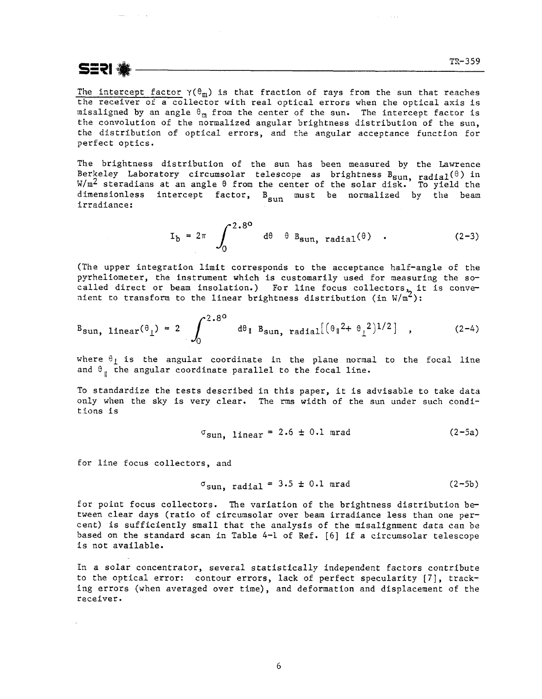SERI GE

 $\sim 10^{-10}$  k

The intercept factor  $\gamma(\theta_m)$  is that fraction of rays from the sun that reaches the receiver of a collector with real optical errors when the optical axis is misaligned by an angle  $\theta_m$  from the center of the sun. The intercept factor is the convolution of the normalized angular brightness distribution of the sun, the distribution of optical errors, and the angular acceptance function for perfect optics.

The brightness distribution of the sun has been measured by the Lawrence Berkeley Laboratory circumsolar telescope as brightness $B_{\rm Sun,~radial}(\theta)$  in W/m $^{\prime}$  steradians at an angle  $\theta$  from the center of the solar disk. To yield the dimensionless intercept factor,  $B_{\text{sum}}$  must be normalized by the beam irradiance:

$$
I_b = 2\pi \int_0^{2.8^{\circ}} d\theta \theta B_{sun, \text{radial}}(\theta) .
$$
 (2-3)

(The upper integration limit corresponds to the acceptance half-angle of the pyrheliometer, the instrument which is customarily used for measuring the socalled direct or beam insolation.) For line focus collectors, it is convenient to transform to the linear brightness distribution (in  $W/\mathfrak{m}^2$ ):

$$
B_{sun, linear}(\theta_{\perp}) = 2 \int_0^{2.80} d\theta_{\parallel} B_{sun, radial} [(\theta_{\parallel}^2 + \theta_{\perp}^2)^{1/2}] , \qquad (2-4)
$$

where  $\theta_1$  is the angular coordinate in the plane normal to the focal line and  $\theta_{\parallel}$  the angular coordinate parallel to the focal line.

To standardize the tests described in this paper, it is advisable to take data only when the sky is very clear. The rms width of the sun under such conditions is

$$
\sigma_{\text{sun, linear}} = 2.6 \pm 0.1 \text{ mrad} \tag{2-5a}
$$

for line focus collectors, and

$$
\sigma_{\text{sun, radial}} = 3.5 \pm 0.1 \text{ mrad} \tag{2-5b}
$$

for point focus collectors. The variation of the brightness distribution between clear days (ratio of circumsolar over beam irradiance less than one percent) is sufficiently small that the analysis of the misalignment data can be based on the standard scan in Table 4-1 of Ref. [6] if a circumsolar telescope is not available.

In a solar concentrator, several statistically independent factors contribute to the optical error: contour errors, lack of perfect specularity [7], tracking errors (when averaged over time), and deformation and displacement of the receiver.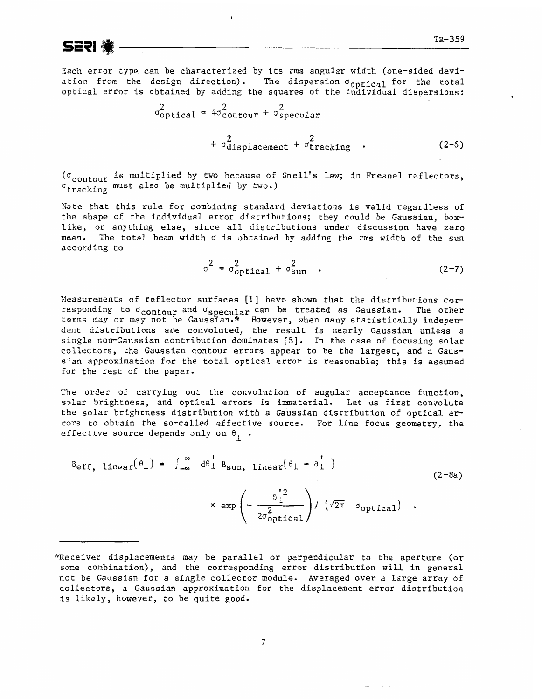

Each error **type** can be characterized by its rms angular width (one-sided deviation from the design direction). The dispersion  $\sigma_{\text{optical}}$  for the total optical error is obtained by adding the squares of the individual dispersions:

$$
\sigma_{\text{optical}}^2 = 4\sigma_{\text{contour}}^2 + \sigma_{\text{specular}}^2
$$
  
+ 
$$
\sigma_{\text{displacement}}^2 + \sigma_{\text{tracking}}^2
$$
 (2-6)

( $\sigma$ <sub>contour</sub> is multiplied by two because of Snell's law; in Fresnel reflectors,  $\sigma_{\text{tracking}}$  must also be multiplied by two.)

Note **that** this rule for combining standard deviations is valid regardless of the shape of the individual error distributions; they could **be** Gaussian, boxlike, or anything else, since all distributions under discussion have zero mean. The total beam width  $\sigma$  is obtained by adding the rms width of the sun according to

$$
\sigma^2 = \sigma_{\text{optical}}^2 + \sigma_{\text{sun}}^2 \quad . \tag{2-7}
$$

Measurements of reflector surfaces [1] have shown that the distributions corresponding to  $\sigma_{\text{contour}}$  and  $\sigma_{\text{specular}}$  can be treated as Gaussian. The other terms nay or may not be Gaussian.\* However, when many statistically independent distributions are convoluted, the result is nearly Gaussian unless a single non-Gaussian contribution dominates [\$I. In the case of focusing solar collectors, the Gaussian contour errors **appear** to be the largest, and a Gaussian approximation for the total optical error is reasonable; this is assumed for the rest of the paper.

The order of carrying out the convolution of angular acceptance function, solar brightness, and optical errors is immaterial. Let us first convolute the solar brightness distribution with a Gaussian distribution of optical errors to obtain the so-called effective source. For line focus geometry, the effective source depends only on  $\theta_+$ .

$$
B_{eff, linear}(\theta_{\perp}) = \int_{-\infty}^{\infty} d\theta_{\perp}^{\dagger} B_{sun, linear}(\theta_{\perp} - \theta_{\perp}^{\dagger})
$$
\n
$$
\times \exp\left(-\frac{\theta_{\perp}^{\dagger 2}}{2\sigma_{optical}^2}\right) / (\sqrt{2\pi} \sigma_{optical}) .
$$
\n(2-8a)

<sup>\*</sup>Receiver displacements nay be parallel or perpendicular to the aperture (or some combination), and the corresponding error distribution will in general not **be** Gaussian for **a** single collector module. Averaged over a large array of collectors, a Gaussian approximation for the displacement error distribution is likely, however, to be quite good.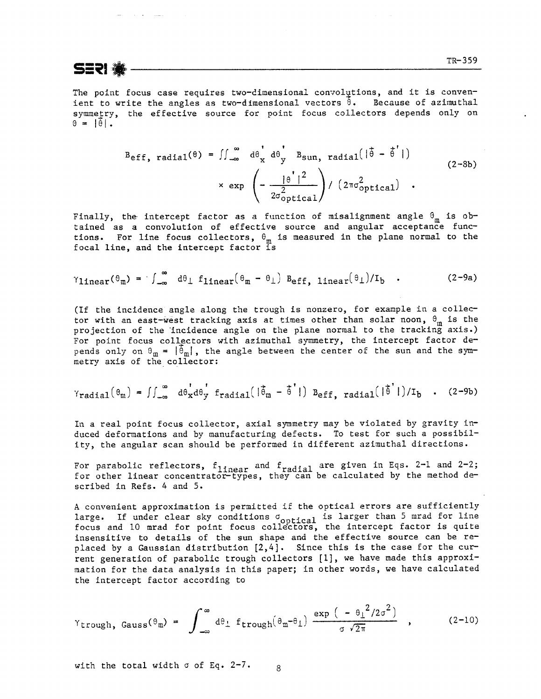The point focus case requires two-dimensional convolutions, and it is convenient to write the angles as two-dimensional vectors  $\hat{\theta}$ . Because of azimuthal symmetry, the effective source for point focus collectors depends only on  $\theta = |\hat{\theta}|$ .

$$
B_{eff, radial}(\theta) = \iint_{-\infty}^{\infty} d\theta_x d\theta_y b_{Sun, radial} (|\vec{\theta} - \vec{\theta}'|)
$$
  
× exp  $\left(-\frac{|\theta'|^2}{2\sigma_{optical}^2}\right) / (2\pi\sigma_{optical}^2)$  (2-8b)

Finally, the intercept factor as a function of misalignment angle  $\theta_m$  is obtained as a convolution of effective source and angular acceptance functions. For line focus collectors,  $\theta_m$  is measured in the plane normal to the focal line, and the intercept factor is

$$
\gamma_{\text{linear}}(\theta_{m}) = \int_{-\infty}^{\infty} d\theta_{\perp} f_{\text{linear}}(\theta_{m} - \theta_{\perp}) B_{\text{eff, linear}}(\theta_{\perp})/I_{b} \quad . \tag{2-9a}
$$

(If the incidence angle along the trough is nonzero, for example in a collector with an east-west tracking axis at times other than solar noon,  $\theta_m$  is the projection of the incidence angle on the plane normal to the tracking axis.) For point focus collectors with azimuthal symmetry, the intercept factor depends only on  $\theta_m = |\hat{\theta}_m|$ , the angle between the center of the sun and the symmetry axis of the collector:

$$
\gamma_{\text{radial}}(\theta_{\text{m}}) = \iint_{-\infty}^{\infty} d\theta_{\text{x}} d\theta_{\text{y}}' f_{\text{radial}}(|\theta_{\text{m}} - \hat{\theta}'|) B_{\text{eff, radial}}(|\hat{\theta}'|)/I_b
$$
 (2-9b)

In a real point focus collector, axial symmetry may be violated by gravity induced deformations and by manufacturing defects. To test for such a possibility, the angular scan should be performed in different aziauthal directions.

For parabolic reflectors,  $f_{linear}$  and  $f_{radial}$  are given in Eqs. 2-1 and 2-2; for other linear concentrator-types, they can be calculated by the method described in Refs. 4 and 5.

**<sup>A</sup>**convenient approximation is permitted if the optical errors are sufficiently large. If under clear sky conditions  $\sigma_{\text{onified}}$  is larger than 5 mrad for line focus and 10 mrad for point focus collectors, the intercept factor is quite insensitive to details of the sun shape and the effective source can be replaced by a Gaussian distribution  $[2,4]$ . Since this is the case for the current generation of parabolic trough collectors [I], we have made this approximation for the data analysis in this paper; in other words, we have calculated the intercept factor according to

$$
\gamma_{\text{trough, Gauss}}(\theta_{m}) = \int_{-\infty}^{\infty} d\theta_{\perp} f_{\text{trough}}(\theta_{m} - \theta_{\perp}) \frac{\exp\left(-\theta_{\perp}^{2}/2\sigma^{2}\right)}{\sigma\sqrt{2\pi}} , \qquad (2-10)
$$

with the total width  $\sigma$  of Eq. 2-7.  $\alpha$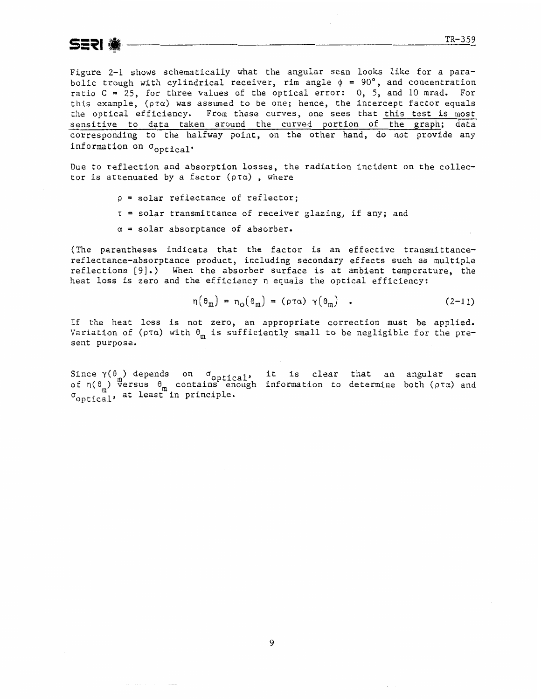**SERI** 

Figure 2-1 shows schematically what the angular scan looks like for a parabolic trough with cylindrical receiver, rim angle  $\phi = 90^{\circ}$ , and concentration ratio C = 25, for three values of the optical error: 0, 5, and 10 **mrad.** For this example,  $(\rho \tau \alpha)$  was assumed to be one; hence, the intercept factor equals the optical efficiency. From these curves, one sees that this test is most sensitive to data taken around the curved **portion** of the graph; **data**  corresponding to the halfway point, on the other hand, do not provide any information on  $\sigma_{\text{optical}}$ .

Due to reflection and absorption losses, the radiation incident on the collector is attenuated by a factor  $(\rho \tau \alpha)$ , where

- **p** = solar reflectance of reflector;
- $\tau$  = solar transmittance of receiver glazing, if any; and
- $\alpha$  = solar absorptance of absorber.

(The parentheses indicate that the factor is an effective transmittancereflectance-absorptance product, including secondary effects **such** as multiple reflections [9].) When the absorber surface is at ambient temperature, the heat loss is zero and the efficiency  $\eta$  equals the optical efficiency:

$$
\eta(\theta_m) = \eta_o(\theta_m) = (\rho \tau \alpha) \gamma(\theta_m) \quad . \tag{2-11}
$$

If the heat **loss** is not zero, an appropriate correction must be applied. Variation of ( $\rho \tau \alpha$ ) with  $\theta_m$  is sufficiently small to be negligible for the present purpose.

 $Sinee \gamma(\theta)$  depends on  $\sigma_{\text{entical}}$ , it is clear that an angular scan **<sup>m</sup>**of r1(8 ) versus **0,** contaiils enough information to determine both **(pra)** and  $r_{\rm{on}}$ ,  $r_{\rm{on}}$ , at least in principle.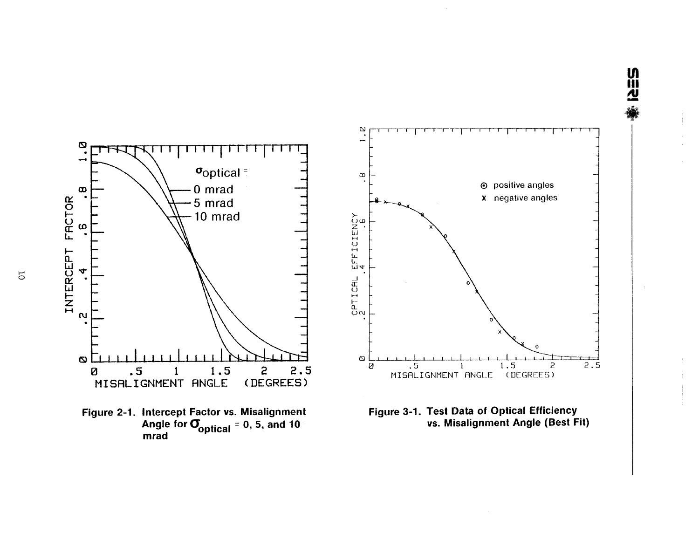

<u>UN</u><br>신

 $\overline{5}$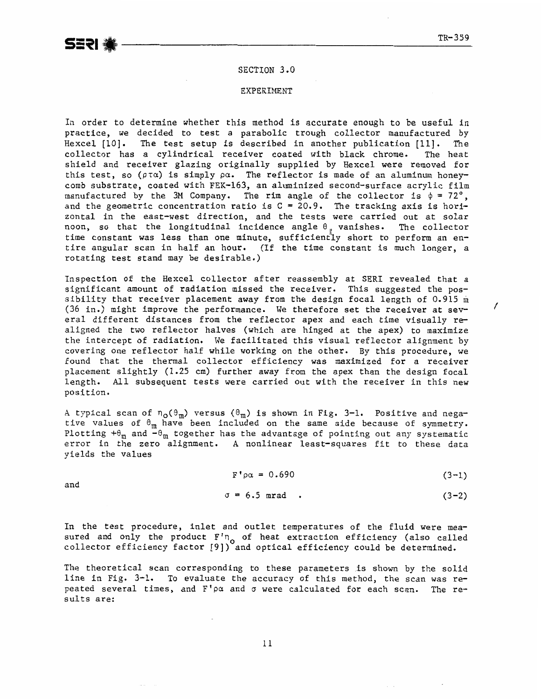#### **SECTION** 3.0

#### EXPERIMENT

In order to determine whether this method is accurate enough to be useful in practice, we decided to test a parabolic trough collector manufactured by Hexcel **[lo].** The test setup is described in another publication [Ill. The collector has a cylindrical receiver coated with black chrome. The heat shield and receiver glazing originally supplied by Hexcel were removed for this test, so  $(\rho \tau \alpha)$  is simply  $\rho \alpha$ . The reflector is made of an aluminum honeycomb substrate, coated with FEK-163, an aluminized second-surface acrylic film manufactured by the 3M Company. The rim angle of the collector is  $\phi = 72^\circ$ , and the geometric concentration ratio is **C** = 20-9. **The** tracking axis is **hori**zontal in the east-west direction, and the tests were carried out at solar noon, so that the longitudinal incidence angle **0** vanishes. The collector time constant was less than one minute, sufficiently short to perform an entire angular scan in half an hour. (If the time constant is much longer, a rotating test stand may be desirable.)

Inspection of the Hexcel collector after reassembly at SERI revealed that a significant amount of radiation missed the receiver. This suggested the possibility that receiver placement away from the design focal length of 0.915 **m**  (36 in.) might improve the performance. We therefore set the receiver at sev- / **era1** different distances from the reflector apex and each time visually realigned the two reflector halves (which are hinged at the apex) to maximize the intercept of radiation. We facilitated this visual reflector alignment by covering one reflector half while working on the other. By this procedure, we found that the thermal collector efficiency was maximized for a receiver placement slightly (1.25 cm) further away from the apex than the design focal length. All subsequent tests were carried out with the receiver in this new position.

A typical scan of  $n_{\text{o}}(\theta_{\text{m}})$  versus  $(\theta_{\text{m}})$  is shown in Fig. 3-1. Positive and negative values of **0,** have been included on the same side because **of** symmetry. Plotting  $+ \theta_m$  and  $-\theta_m$  together has the advantage of pointing out any systematic **error in** the zero alignment. A nonlinear least-squares fit to these data yields the values

$$
F' \rho \alpha = 0.690 \tag{3-1}
$$

and

$$
\sigma = 6.5 \text{ mrad}
$$
 (3-2)

In the test procedure, inlet and outlet temperatures of the fluid were measured and only the product  $F'_{0}$  of heat extraction efficiency (also called collector efficiency factor [9]) and optical efficiency could be determined.

The theoretical scan corresponding to these parameters is shown by the solid line in Fig, 3-1. To evaluate the accuracy of this method, the scan was repeated several times, and  $F' \rho \alpha$  and  $\sigma$  were calculated for each scan. The results are: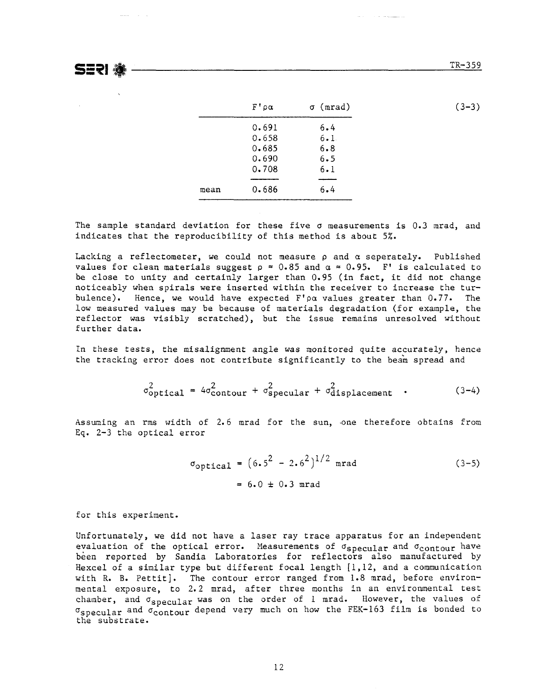**SERI ®** 

 $\alpha$  mass  $\alpha$  ,  $\alpha$  ,  $\alpha$  ,  $\alpha$ 

|      | $F' \rho \alpha$ | $\sigma$ (mrad) | $(3-3)$ |
|------|------------------|-----------------|---------|
|      | 0.691            | 6.4             |         |
|      | 0.658            | 6.1             |         |
|      | 0.685            | 6.8             |         |
|      | 0.690            | 6.5             |         |
|      | 0.708            | 6.1             |         |
| mean | 0.686            | 6.4             |         |

The sample standard deviation for these five  $\sigma$  measurements is 0.3 mrad, and indicates that the reproducibility of this method is about 5%.

Lacking a reflectometer, we could not measure **p** and a seperately. Published values for clean materials suggest  $p \approx 0.85$  and  $\alpha \approx 0.95$ . F' is calculated to be close to unity and certainly larger than 0.95 (in fact, it did not change noticeably when spirals were inserted within the receiver to increase the turbulence). Hence, we would have expected  $F' \rho \alpha$  values greater than 0.77. The low measured values may be because of materials degradation (for example, the reflector was visibly scratched), but the issue remains unresolved without further data.

In these tests, the misalignment angle was monitored quite accurately, hence the tracking error does not contribute significantly to the beam spread and

$$
\sigma_{\text{optical}}^2 = 4\sigma_{\text{contour}}^2 + \sigma_{\text{specular}}^2 + \sigma_{\text{displacement}}^2 \quad . \tag{3-4}
$$

Assuming an rms width of 2.6 mrad for the sun, one therefore obtains from Eq. 2-3 the optical error

$$
\sigma_{\text{optical}} = (6.5^2 - 2.6^2)^{1/2} \text{ mrad} \tag{3-5}
$$
  
= 6.0 \pm 0.3 mrad

for this experiment.

Unfortunately, we did not have a laser ray trace apparatus for an independent evaluation of the optical error. Measurements of  $\sigma_{\text{specular}}$  and  $\sigma_{\text{contour}}$  have been reported by Sandia Laboratories for reflectors also manufactured by Hexcel of a similar type but different focal length  $[1,12,$  and a communication with R. B. Pettit]. The contour error ranged from 1.8 mrad, before environmental exposure, to 2.2 mrad, after three months in an environmental test chamber, and  $\sigma_{\text{specular}}$  was on the order of 1 mrad. However, the values of  $\sigma_{\text{specular}}$  and  $\sigma_{\text{contour}}$  depend very much on how the FEK-163 film is bonded to the substrate.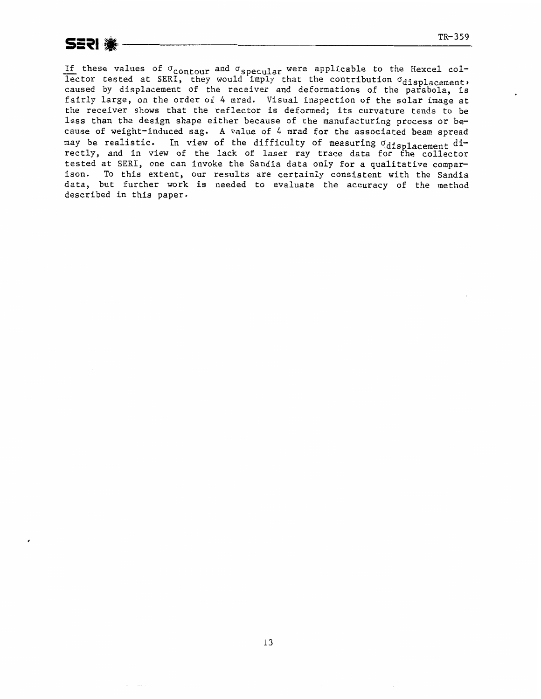TR-359<br>If these values of  $\sigma_{\text{contour}}$  and  $\sigma_{\text{specular}}$  were applicable to the Hexcel col-<br>lector tested at SERI, they would imply that the contribution  $\sigma_{\text{displacement}}$ . caused by displacement of the **rec~iver** and deformations of the parabola, is fairly large, on the order of 4 nrad. Visual inspection of the solar image at the receiver shows that the reflector is deformed; its curvature tends to be less than the design shape either because of the manufacturing process or because of weight-induced sag. A value of 4 mrad for the associated beam spread may be realistic. In view of the difficulty of measuring  $q_{\text{displacement}}$  directly, and in view of the lack of laser ray trace data for the collector tested at SERI, one can invoke the Sandia data only for a qualitative comparison. To this extent, our results are certainly consistent **with the** Sandia data, **but** further work is needed to evaluate the accuracy of the **method**  described in this paper.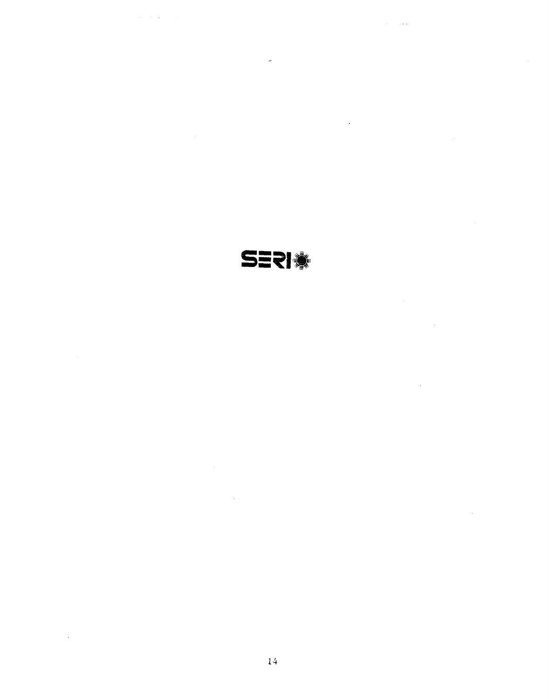**SERI** 

 $\overline{a}$ 

 $\hat{\boldsymbol{\beta}}$ 

 $\mathcal{A}_\mathrm{c}$ 

 $\sim 1$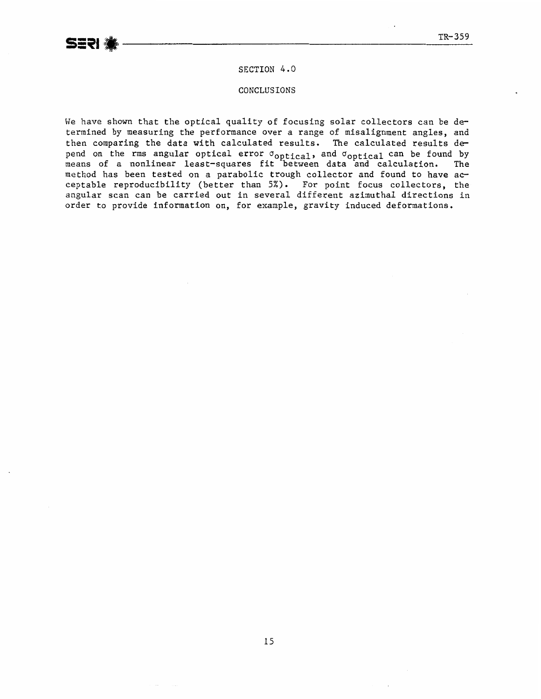### **SECTION** *4* **.g**

**CONCLUSIONS** 

**We** have shown that the optical quality of focusing solar collectors can be determined by measuring the performance over a range of misalignment angles, and then comparing **the** data with calculated results. The calculated results depend on the rms angular optical error  $\sigma_{\text{ontical}}$ , and  $\sigma_{\text{ontical}}$  can be found by means of a nonlinear **least-squares** fit between data and **calculation. The**  method has been tested on a parabolic trough collector **and** found to have ac**ceptable** reproducibility (better than 5%). **For** point focus collectors, the angular scan can be carried out in several different **aziauthal** directions in order to provide infomation on, for example, gravity induced deformations .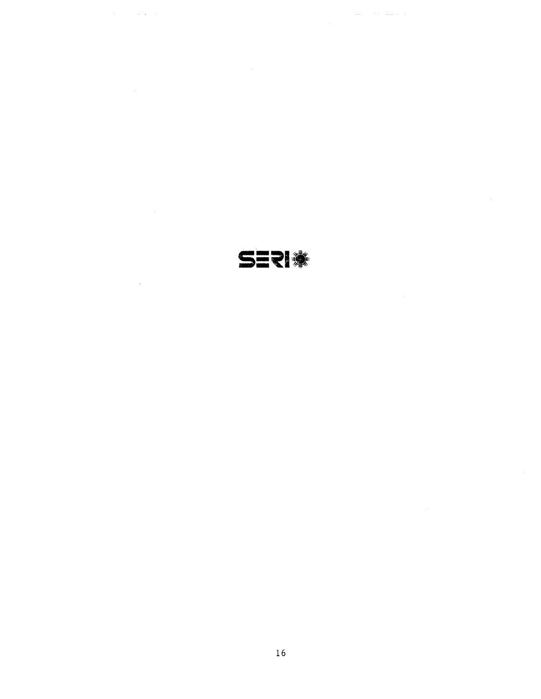SERI

 $\mathcal{L}_{\text{max}}$ 

 $\hat{z}$  ,  $\hat{z}$  ,  $\hat{z}$  ,  $\hat{z}$ 

 $\alpha$  ,  $\alpha$ 

 $\sim 10^7$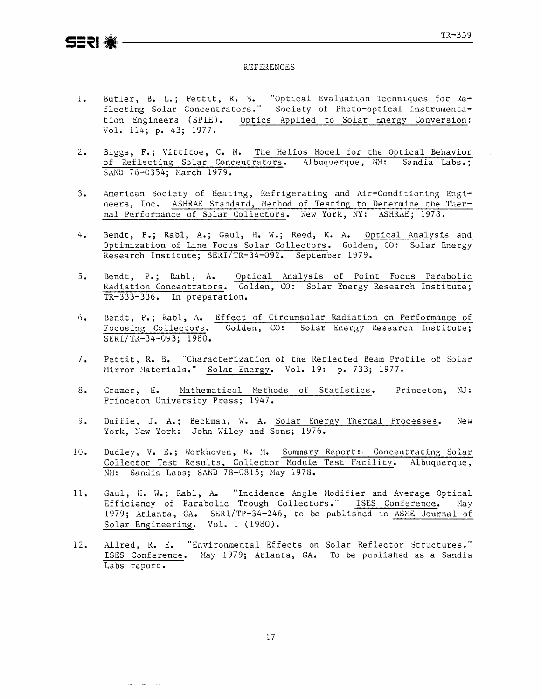#### **REFERENCES**

- Butler, B. L.; Pettit, R. B. "Optical Evaluation Techniques for Re-<br>flecting Solar Concentrators." Society of Photo-optical Instrumenta- $1<sup>1</sup>$ tion Engineers (SPIE). Optics Applied to Solar Energy Conversion: Vol. 114; p. 43; 1977.
- Biggs, F.; Vittitoe, C. N. The Helios Model for the Optical Behavior  $2.$ of Reflecting Solar Concentrators. Albuquerque, MM: Sandia Labs.; SAND 76-0354; March 1979.
- American Society of Heating, Refrigerating and Air-Conditioning Engi- $3.$ neers, Inc. ASHRAE Standard, Method of Testing to Determine the Thermal Performance of Solar Collectors. New York, NY: ASHRAE; 1978.
- 4. Bendt, P.; Rabl, A.; Gaul, H. W.; Reed, K. A. Optical Analysis and Optimization of Line Focus Solar Collectors. Golden, CO: Solar Energy Research Institute; SERI/TR-34-092. September 1979.
- Bendt, P.; Rabl, A. Optical Analysis of Point Focus Parabolic<br>Radiation Concentrators. Golden, CO: Solar Energy Research Institute;  $5.$ TR-333-336. In preparation.
- Bendt, P.; Rabl, A. Effect of Circumsolar Radiation on Performance of  $6.$ Focusing Collectors. Golden, CO: Solar Energy Research Institute: SERI/TR-34-093; 1980.
- $7.$ Pettit, R. B. "Characterization of the Reflected Beam Profile of Solar Mirror Materials." Solar Energy. Vol. 19: p. 733; 1977.
- $8.$ Mathematical Methods of Statistics. Princeton, NJ: Cramer, H. Princeton University Press; 1947.
- $9.$ Duffie, J. A.; Beckman, W. A. Solar Energy Thermal Processes. New York, New York: John Wiley and Sons: 1976.
- Dudley, V. E.; Workhoven, R. M. Summary Report: Concentrating Solar<br>Collector Test Results, Collector Module Test Facility. Albuquerque,  $10.$ NH: Sandia Labs; SAND 78-0815; May 1978.
- Gaul, H. W.; Rabl, A. "Incidence Angle Modifier and Average Optical  $11.$ Efficiency of Parabolic Trough Collectors." ISES Conference. May 1979; Atlanta, GA. SERI/TP-34-246, to be published in ASME Journal of Solar Engineering. Vol. 1 (1980).
- Allred, R. E. "Environmental Effects on Solar Reflector Structures."  $12.$ ISES Conference. May 1979; Atlanta, GA. To be published as a Sandia Labs report.

 $17$ 

and the company